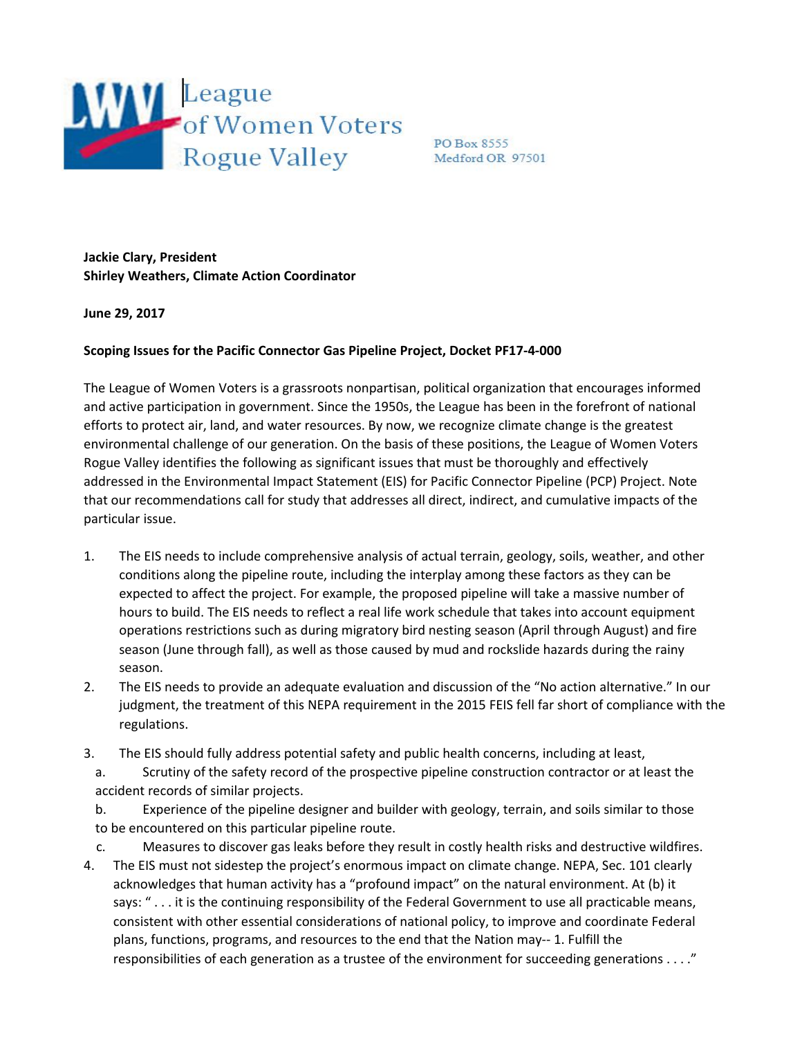

PO Box 8555 Medford OR 97501

**Jackie Clary, President Shirley Weathers, Climate Action Coordinator**

**June 29, 2017**

## **Scoping Issues for the Pacific Connector Gas Pipeline Project, Docket PF17-4-000**

The League of Women Voters is a grassroots nonpartisan, political organization that encourages informed and active participation in government. Since the 1950s, the League has been in the forefront of national efforts to protect air, land, and water resources. By now, we recognize climate change is the greatest environmental challenge of our generation. On the basis of these positions, the League of Women Voters Rogue Valley identifies the following as significant issues that must be thoroughly and effectively addressed in the Environmental Impact Statement (EIS) for Pacific Connector Pipeline (PCP) Project. Note that our recommendations call for study that addresses all direct, indirect, and cumulative impacts of the particular issue.

- 1. The EIS needs to include comprehensive analysis of actual terrain, geology, soils, weather, and other conditions along the pipeline route, including the interplay among these factors as they can be expected to affect the project. For example, the proposed pipeline will take a massive number of hours to build. The EIS needs to reflect a real life work schedule that takes into account equipment operations restrictions such as during migratory bird nesting season (April through August) and fire season (June through fall), as well as those caused by mud and rockslide hazards during the rainy season.
- 2. The EIS needs to provide an adequate evaluation and discussion of the "No action alternative." In our judgment, the treatment of this NEPA requirement in the 2015 FEIS fell far short of compliance with the regulations.
- 3. The EIS should fully address potential safety and public health concerns, including at least,
	- a. Scrutiny of the safety record of the prospective pipeline construction contractor or at least the accident records of similar projects.

b. Experience of the pipeline designer and builder with geology, terrain, and soils similar to those to be encountered on this particular pipeline route.

c. Measures to discover gas leaks before they result in costly health risks and destructive wildfires. 4. The EIS must not sidestep the project's enormous impact on climate change. NEPA, Sec. 101 clearly acknowledges that human activity has a "profound impact" on the natural environment. At (b) it says: "... it is the continuing responsibility of the Federal Government to use all practicable means, consistent with other essential considerations of national policy, to improve and coordinate Federal plans, functions, programs, and resources to the end that the Nation may-- 1. Fulfill the responsibilities of each generation as a trustee of the environment for succeeding generations . . . ."